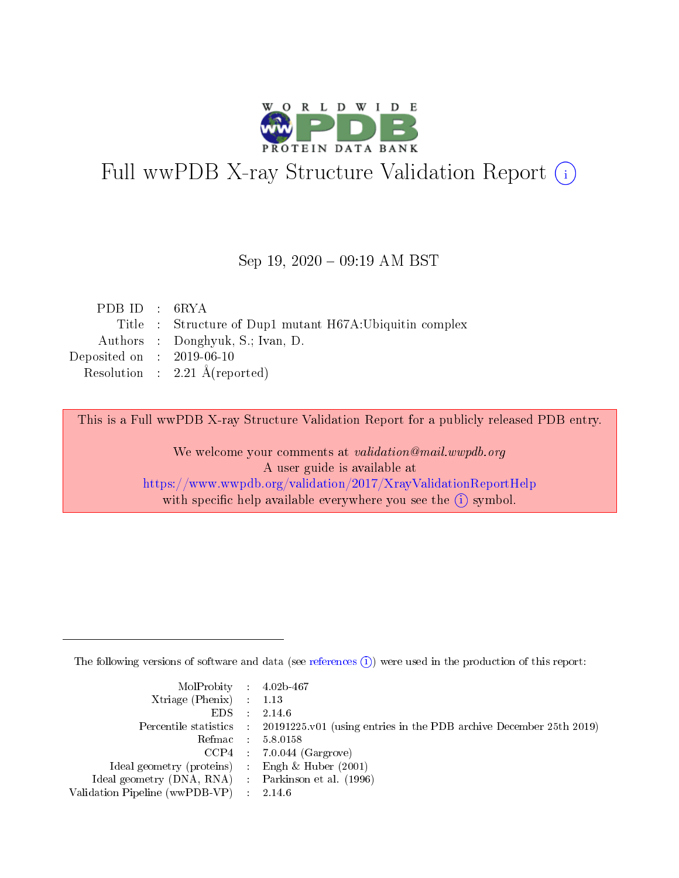

# Full wwPDB X-ray Structure Validation Report (i)

#### Sep 19,  $2020 - 09:19$  AM BST

| PDB ID : $6RYA$             |                                                         |
|-----------------------------|---------------------------------------------------------|
|                             | Title : Structure of Dup1 mutant H67A:Ubiquitin complex |
|                             | Authors : Donghyuk, S.; Ivan, D.                        |
| Deposited on : $2019-06-10$ |                                                         |
|                             | Resolution : $2.21 \text{ Å}$ (reported)                |

This is a Full wwPDB X-ray Structure Validation Report for a publicly released PDB entry.

We welcome your comments at validation@mail.wwpdb.org A user guide is available at <https://www.wwpdb.org/validation/2017/XrayValidationReportHelp> with specific help available everywhere you see the  $(i)$  symbol.

The following versions of software and data (see [references](https://www.wwpdb.org/validation/2017/XrayValidationReportHelp#references)  $(i)$ ) were used in the production of this report:

| $MolProbability$ 4.02b-467                          |                             |                                                                                            |
|-----------------------------------------------------|-----------------------------|--------------------------------------------------------------------------------------------|
| $Xtriangle (Phenix)$ : 1.13                         |                             |                                                                                            |
| EDS -                                               |                             | 2.14.6                                                                                     |
|                                                     |                             | Percentile statistics : 20191225.v01 (using entries in the PDB archive December 25th 2019) |
|                                                     |                             | Refmac : 5.8.0158                                                                          |
|                                                     |                             | $CCP4$ : 7.0.044 (Gargrove)                                                                |
| Ideal geometry (proteins) : Engh $\&$ Huber (2001)  |                             |                                                                                            |
| Ideal geometry (DNA, RNA) : Parkinson et al. (1996) |                             |                                                                                            |
| Validation Pipeline (wwPDB-VP)                      | $\mathcal{A}^{\mathcal{A}}$ | 2.14.6                                                                                     |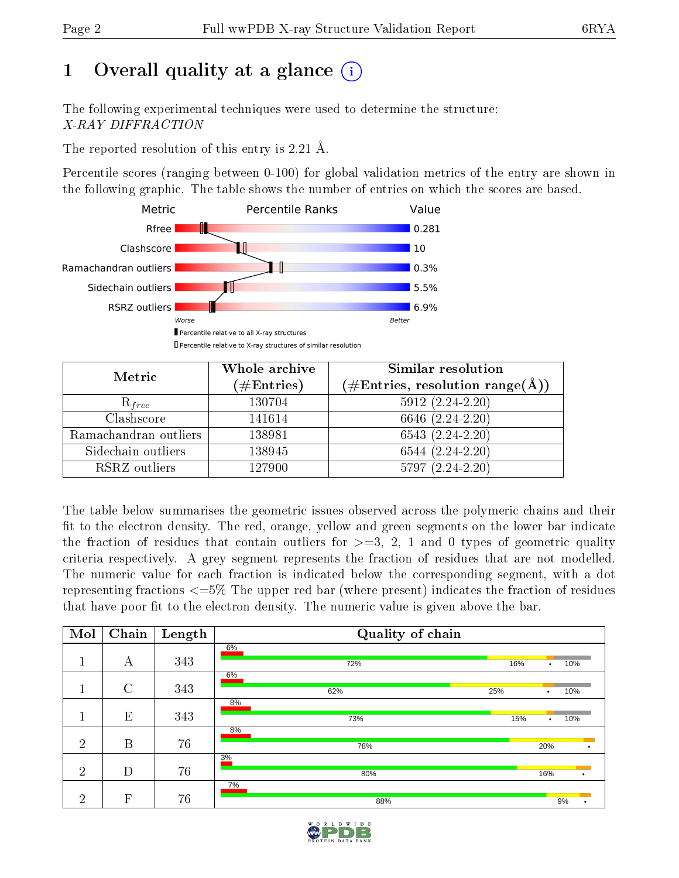# 1 [O](https://www.wwpdb.org/validation/2017/XrayValidationReportHelp#overall_quality)verall quality at a glance  $(i)$

The following experimental techniques were used to determine the structure: X-RAY DIFFRACTION

The reported resolution of this entry is 2.21 Å.

Percentile scores (ranging between 0-100) for global validation metrics of the entry are shown in the following graphic. The table shows the number of entries on which the scores are based.



| Metric                | Whole archive<br>$(\#\mathrm{Entries})$ | Similar resolution<br>$(\#\text{Entries}, \text{resolution range}(\textup{\AA}))$ |
|-----------------------|-----------------------------------------|-----------------------------------------------------------------------------------|
| $R_{free}$            | 130704                                  | $5912(2.24-2.20)$                                                                 |
| Clashscore            | 141614                                  | 6646 (2.24-2.20)                                                                  |
| Ramachandran outliers | 138981                                  | $6543(2.24-2.20)$                                                                 |
| Sidechain outliers    | 138945                                  | $6544(2.24-2.20)$                                                                 |
| RSRZ outliers         | 127900                                  | $5797(2.24-2.20)$                                                                 |

The table below summarises the geometric issues observed across the polymeric chains and their fit to the electron density. The red, orange, yellow and green segments on the lower bar indicate the fraction of residues that contain outliers for  $>=3, 2, 1$  and 0 types of geometric quality criteria respectively. A grey segment represents the fraction of residues that are not modelled. The numeric value for each fraction is indicated below the corresponding segment, with a dot representing fractions <=5% The upper red bar (where present) indicates the fraction of residues that have poor fit to the electron density. The numeric value is given above the bar.

| Mol            | Chain          | Length | Quality of chain |           |           |
|----------------|----------------|--------|------------------|-----------|-----------|
|                | А              | 343    | 6%<br>72%<br>16% | $\bullet$ | 10%       |
|                | $\overline{C}$ | 343    | 6%<br>62%<br>25% |           | 10%       |
| $\mathbf{1}$   | E              | 343    | 8%<br>73%<br>15% | ٠         | 10%       |
| $\overline{2}$ | B              | 76     | 8%<br>78%        | 20%       | ٠         |
| $\overline{2}$ | D              | 76     | 3%<br>80%        | 16%       | $\bullet$ |
| $\overline{2}$ | $\mathbf{F}$   | 76     | 7%<br>88%        |           | 9%        |

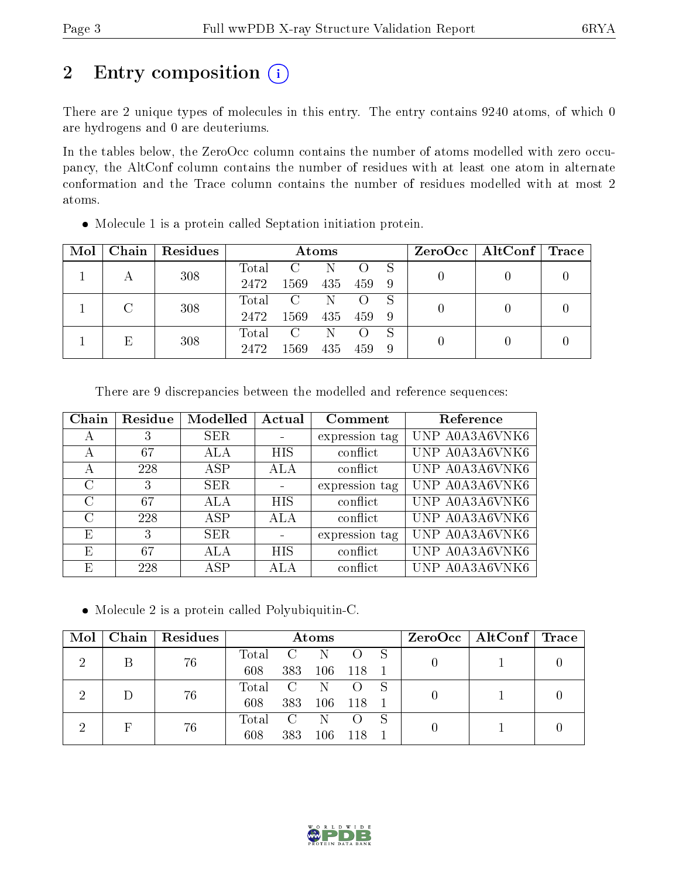# 2 Entry composition (i)

There are 2 unique types of molecules in this entry. The entry contains 9240 atoms, of which 0 are hydrogens and 0 are deuteriums.

In the tables below, the ZeroOcc column contains the number of atoms modelled with zero occupancy, the AltConf column contains the number of residues with at least one atom in alternate conformation and the Trace column contains the number of residues modelled with at most 2 atoms.

| Mol | Chain | Residues |       |                         | Atoms |     |    | $ZeroOcc \   \$ AltConf | $\operatorname{Trace}$ |  |
|-----|-------|----------|-------|-------------------------|-------|-----|----|-------------------------|------------------------|--|
|     |       | 308      | Total | C.                      | N     |     | -S |                         |                        |  |
|     |       |          | 2472  | 1569                    | 435   | 459 | -9 |                         |                        |  |
|     | C     | 308      | Total | $\overline{\mathbf{C}}$ | -N    |     | -S |                         |                        |  |
|     |       |          | 2472  | 1569                    | 435   | 459 | -9 |                         |                        |  |
|     | Е     |          | Total | $\mathcal{C}$           | N     |     |    |                         |                        |  |
|     | 308   | 2472     | 1569  | 435                     | 459   | -9  |    |                         |                        |  |

Molecule 1 is a protein called Septation initiation protein.

| Chain    | Residue | Modelled   | Actual         | Comment        | Reference      |
|----------|---------|------------|----------------|----------------|----------------|
| А        |         | <b>SER</b> |                | expression tag | UNP A0A3A6VNK6 |
| А        | 67      | ALA        | <b>HIS</b>     | conflict       | UNP A0A3A6VNK6 |
| А        | 228     | ASP        | ALA            | conflict       | UNP A0A3A6VNK6 |
| C        | 3       | <b>SER</b> |                | expression tag | UNP A0A3A6VNK6 |
| $\Gamma$ | 67      | ALA        | HIS            | conflict       | UNP A0A3A6VNK6 |
| C        | 228     | ASP        | ALA            | conflict       | UNP A0A3A6VNK6 |
| Ε        | 3       | SER.       | $\blacksquare$ | expression tag | UNP A0A3A6VNK6 |
| E        | 67      | ALA        | HIS            | conflict       | UNP A0A3A6VNK6 |
| Ε        | 228     | ASP        | ALA            | conflict       | UNP A0A3A6VNK6 |

Molecule 2 is a protein called Polyubiquitin-C.

| Mol | Chain | Residues | <b>Atoms</b> |                |       |                  |  |  | $\rm ZeroOcc \mid AltConf \mid Trace$ |  |
|-----|-------|----------|--------------|----------------|-------|------------------|--|--|---------------------------------------|--|
|     |       | 76       | Total        | $\overline{C}$ | -N    |                  |  |  |                                       |  |
|     |       |          | 608          | 383            | 106   | - 118            |  |  |                                       |  |
|     |       | 76       | Total C      |                | N.    | $\left( \right)$ |  |  |                                       |  |
|     |       | 608      | 383          | 106            | - 118 |                  |  |  |                                       |  |
|     |       |          | Total        | $\overline{C}$ | N     |                  |  |  |                                       |  |
|     | 76    | 608      | 383          | 106            | 118   |                  |  |  |                                       |  |

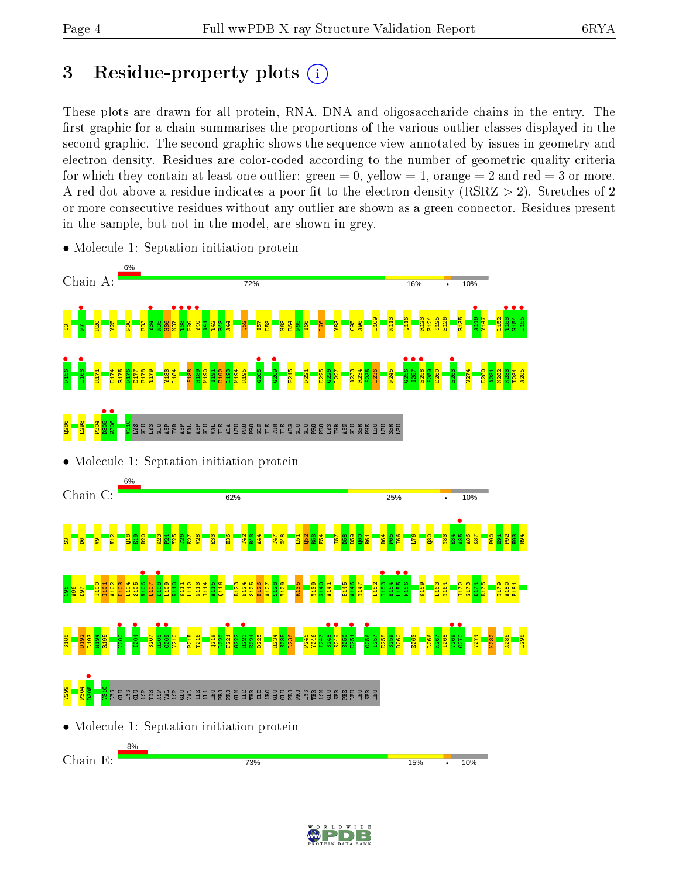## 3 Residue-property plots  $(i)$

These plots are drawn for all protein, RNA, DNA and oligosaccharide chains in the entry. The first graphic for a chain summarises the proportions of the various outlier classes displayed in the second graphic. The second graphic shows the sequence view annotated by issues in geometry and electron density. Residues are color-coded according to the number of geometric quality criteria for which they contain at least one outlier: green  $= 0$ , yellow  $= 1$ , orange  $= 2$  and red  $= 3$  or more. A red dot above a residue indicates a poor fit to the electron density ( $\text{RSRZ} > 2$ ). Stretches of 2 or more consecutive residues without any outlier are shown as a green connector. Residues present in the sample, but not in the model, are shown in grey.



• Molecule 1: Septation initiation protein

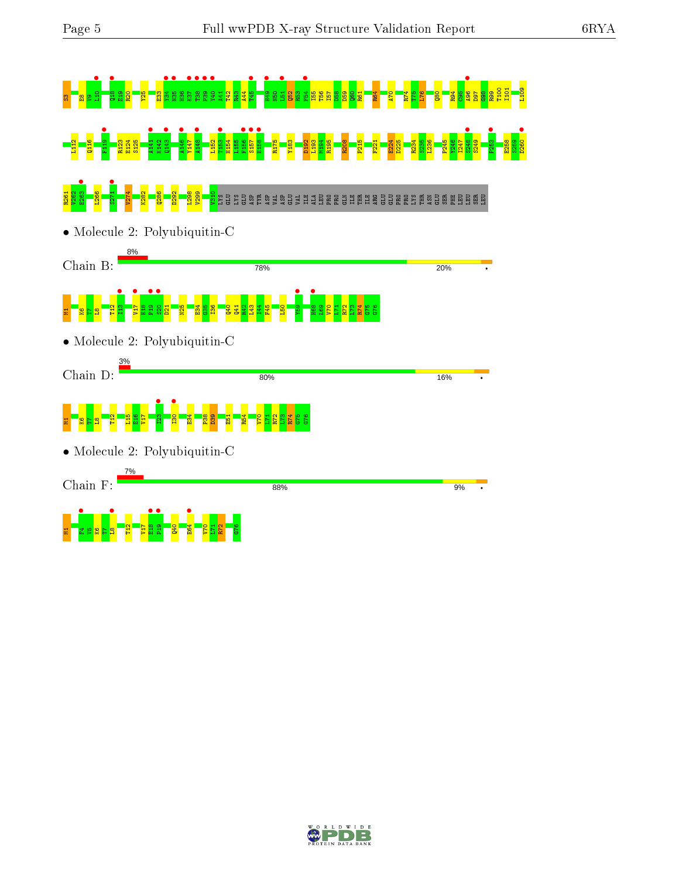

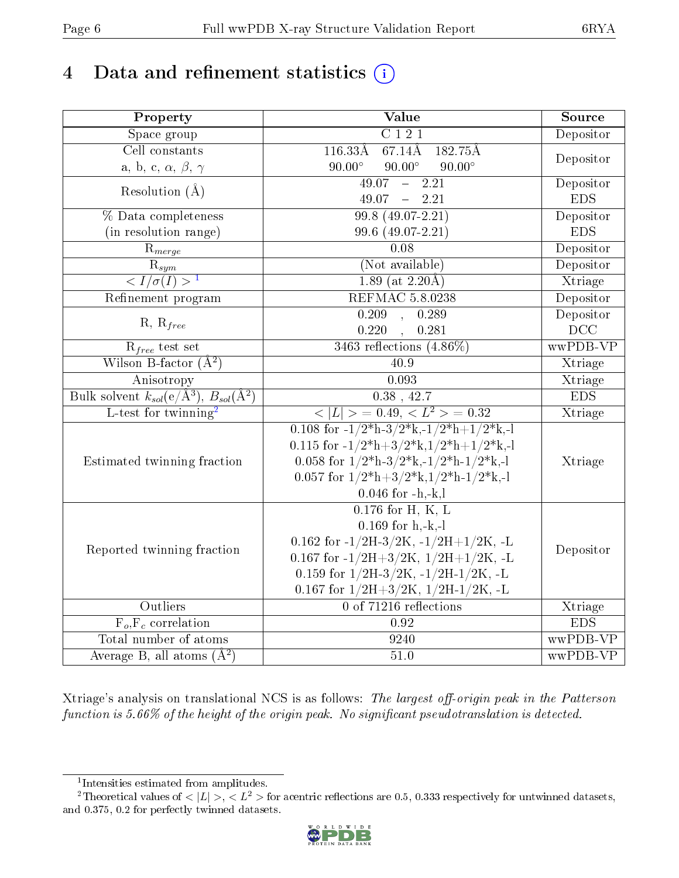# 4 Data and refinement statistics  $(i)$

| Property                                                         | Value                                                                                                    | Source     |  |  |
|------------------------------------------------------------------|----------------------------------------------------------------------------------------------------------|------------|--|--|
| Space group                                                      | $\overline{C121}$                                                                                        | Depositor  |  |  |
| Cell constants                                                   | $116.33\AA$<br>67.14Å<br>182.75Å                                                                         |            |  |  |
| a, b, c, $\alpha,\,\beta,\,\gamma$                               | $90.00^\circ$<br>$90.00^\circ$<br>$90.00^\circ$                                                          | Depositor  |  |  |
| Resolution $(\AA)$                                               | 49.07<br>$-2.21$                                                                                         | Depositor  |  |  |
|                                                                  | 49.07<br>$-2.21$                                                                                         | <b>EDS</b> |  |  |
| % Data completeness                                              | $99.8(49.07-2.21)$                                                                                       | Depositor  |  |  |
| (in resolution range)                                            | 99.6 (49.07-2.21)                                                                                        | <b>EDS</b> |  |  |
| $R_{merge}$                                                      | 0.08                                                                                                     | Depositor  |  |  |
| $rac{R_{sym}}{<1/\sigma(I)>1}$                                   | (Not available)                                                                                          | Depositor  |  |  |
|                                                                  | $1.89$ (at 2.20 Å)                                                                                       | Xtriage    |  |  |
| Refinement program                                               | <b>REFMAC 5.8.0238</b>                                                                                   | Depositor  |  |  |
|                                                                  | 0.209<br>0.289<br>$\mathbb{R}^2$                                                                         | Depositor  |  |  |
| $R, R_{free}$                                                    | 0.220<br>0.281                                                                                           | DCC        |  |  |
| $R_{free}$ test set                                              | 3463 reflections $(4.86\%)$                                                                              | wwPDB-VP   |  |  |
| Wilson B-factor $(\AA^2)$                                        | 40.9                                                                                                     | Xtriage    |  |  |
| Anisotropy                                                       | 0.093                                                                                                    | Xtriage    |  |  |
| Bulk solvent $k_{sol}(\text{e}/\text{A}^3), B_{sol}(\text{A}^2)$ | $0.38$ , $42.7\,$                                                                                        | <b>EDS</b> |  |  |
| L-test for twinning <sup>2</sup>                                 | $< L >$ = 0.49, $< L^2 >$ = 0.32                                                                         | Xtriage    |  |  |
|                                                                  | 0.108 for $-1/2$ <sup>*</sup> h $-3/2$ <sup>*</sup> k, $-1/2$ <sup>*</sup> h $+1/2$ <sup>*</sup> k, $-1$ |            |  |  |
|                                                                  | 0.115 for $-1/2^*h+3/2^*k$ , $1/2^*h+1/2^*k$ , -1                                                        |            |  |  |
| Estimated twinning fraction                                      | 0.058 for $1/2^*h-3/2^*k,-1/2^*h-1/2^*k,-1$                                                              | Xtriage    |  |  |
|                                                                  | 0.057 for $1/2^*h+3/2^*k$ , $1/2^*h-1/2^*k$ ,-1                                                          |            |  |  |
|                                                                  | $0.046$ for $-h,-k,l$                                                                                    |            |  |  |
|                                                                  | $0.176$ for H, K, L                                                                                      |            |  |  |
|                                                                  | $0.169$ for h,-k,-l                                                                                      |            |  |  |
| Reported twinning fraction                                       | 0.162 for $-1/2H-3/2K$ , $-1/2H+1/2K$ , $-L$                                                             | Depositor  |  |  |
|                                                                  | 0.167 for $-1/2H+3/2K$ , $1/2H+1/2K$ , $-L$                                                              |            |  |  |
|                                                                  | 0.159 for $1/2H-3/2K$ , $-1/2H-1/2K$ , $-L$                                                              |            |  |  |
|                                                                  | 0.167 for $1/2H+3/2K$ , $1/2H-1/2K$ , -L                                                                 |            |  |  |
| Outliers                                                         | 0 of 71216 reflections                                                                                   | Xtriage    |  |  |
| $\overline{F_o, F_c}$ correlation                                | 0.92                                                                                                     | <b>EDS</b> |  |  |
| Total number of atoms                                            | 9240                                                                                                     | wwPDB-VP   |  |  |
| Average B, all atoms $(A^2)$                                     | $51.0\,$                                                                                                 | wwPDB-VP   |  |  |

Xtriage's analysis on translational NCS is as follows: The largest off-origin peak in the Patterson function is  $5.66\%$  of the height of the origin peak. No significant pseudotranslation is detected.

<sup>&</sup>lt;sup>2</sup>Theoretical values of  $\langle |L| \rangle$ ,  $\langle L^2 \rangle$  for acentric reflections are 0.5, 0.333 respectively for untwinned datasets, and 0.375, 0.2 for perfectly twinned datasets.



<span id="page-5-1"></span><span id="page-5-0"></span><sup>1</sup> Intensities estimated from amplitudes.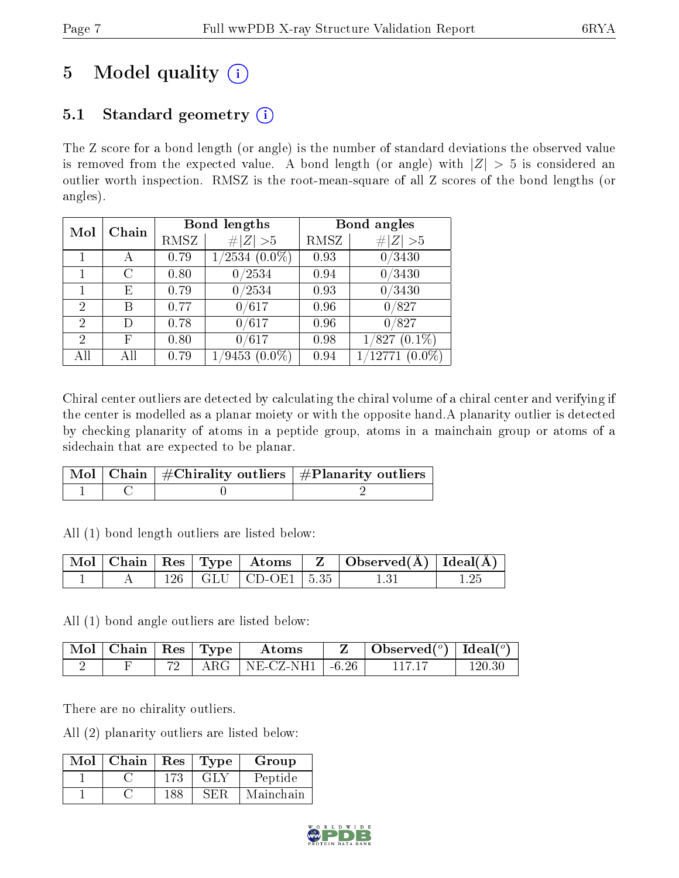# 5 Model quality  $(i)$

## 5.1 Standard geometry  $(i)$

The Z score for a bond length (or angle) is the number of standard deviations the observed value is removed from the expected value. A bond length (or angle) with  $|Z| > 5$  is considered an outlier worth inspection. RMSZ is the root-mean-square of all Z scores of the bond lengths (or angles).

| Mol            | Chain |      | <b>Bond lengths</b> | Bond angles |                     |  |
|----------------|-------|------|---------------------|-------------|---------------------|--|
|                |       | RMSZ | $\ Z\  > 5$         | RMSZ        | # $ Z  > 5$         |  |
|                |       | 0.79 | $1/2534(0.0\%)$     | 0.93        | $\overline{0}/3430$ |  |
|                | С     | 0.80 | 0/2534              | 0.94        | 0/3430              |  |
|                | Е     | 0.79 | 0/2534              | 0.93        | 0/3430              |  |
| $\overline{2}$ | В     | 0.77 | 0/617               | 0.96        | 0/827               |  |
| $\overline{2}$ | D     | 0.78 | 0/617               | 0.96        | 0/827               |  |
| $\overline{2}$ | F     | 0.80 | 0/617               | 0.98        | $(0.1\%)$<br>1/827  |  |
| All            | All   | 0.79 | $(0.0\%)$<br>/9453  | 0.94        | $(0.0\%)$<br>/12771 |  |

Chiral center outliers are detected by calculating the chiral volume of a chiral center and verifying if the center is modelled as a planar moiety or with the opposite hand.A planarity outlier is detected by checking planarity of atoms in a peptide group, atoms in a mainchain group or atoms of a sidechain that are expected to be planar.

|  | Mol   Chain   $\#\text{Chirality outliers}$   $\#\text{Planarity outliers}$ ' |
|--|-------------------------------------------------------------------------------|
|  |                                                                               |

All (1) bond length outliers are listed below:

|  |  |                             | $\mid$ Mol $\mid$ Chain $\mid$ Res $\mid$ Type $\mid$ Atoms $\mid$ Z $\mid$ Observed(Å) $\mid$ Ideal(Å) $\mid$ |  |
|--|--|-----------------------------|----------------------------------------------------------------------------------------------------------------|--|
|  |  | $126$   GLU   CD-OE1   5.35 | 131                                                                                                            |  |

All (1) bond angle outliers are listed below:

| $\pm$ Mol $\pm$ Chain $\pm$ Res $\pm$ Type $^+$ |  | Atoms                        | Observed( $^{\circ}$ )   Ideal( $^{\circ}$ ) |  |
|-------------------------------------------------|--|------------------------------|----------------------------------------------|--|
|                                                 |  | ARG   NE-CZ-NH1 $\mid$ -6.26 |                                              |  |

There are no chirality outliers.

All (2) planarity outliers are listed below:

| Mol | Chain | Res  | Type | Group     |
|-----|-------|------|------|-----------|
|     |       |      |      | Peptide   |
|     |       | 188. |      | Mainchain |

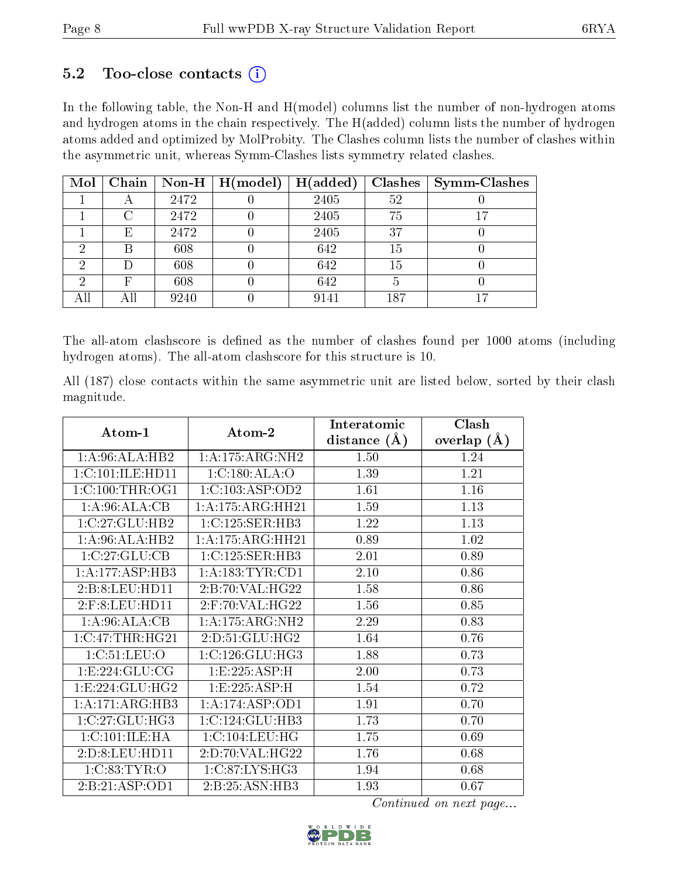### $5.2$  Too-close contacts  $(i)$

In the following table, the Non-H and H(model) columns list the number of non-hydrogen atoms and hydrogen atoms in the chain respectively. The H(added) column lists the number of hydrogen atoms added and optimized by MolProbity. The Clashes column lists the number of clashes within the asymmetric unit, whereas Symm-Clashes lists symmetry related clashes.

| Mol |                           |      | Chain   Non-H   $H (model)$ | H(added) |     | $Clashes$   Symm-Clashes |
|-----|---------------------------|------|-----------------------------|----------|-----|--------------------------|
|     |                           | 2472 |                             | 2405     | 52  |                          |
|     |                           | 2472 |                             | 2405     | 75  |                          |
|     | $\boldsymbol{\mathrm{E}}$ | 2472 |                             | 2405     | 37  |                          |
|     | В                         | 608  |                             | 642      | 15  |                          |
|     |                           | 608  |                             | 642      | 15  |                          |
|     | F                         | 608  |                             | 642      |     |                          |
|     | Αll                       | 9240 |                             | 9141     | 187 |                          |

The all-atom clashscore is defined as the number of clashes found per 1000 atoms (including hydrogen atoms). The all-atom clashscore for this structure is 10.

All (187) close contacts within the same asymmetric unit are listed below, sorted by their clash magnitude.

|                             |                     | Interatomic    | Clash         |  |
|-----------------------------|---------------------|----------------|---------------|--|
| Atom-1                      | Atom-2              | distance $(A)$ | overlap $(A)$ |  |
| 1:A:96:ALA:HB2              | 1: A:175: ARG: NH2  | 1.50           | 1.24          |  |
| 1:C:101:ILE:HD11            | 1:C:180:ALA:O       | 1.39           | 1.21          |  |
| 1:C:100:THR:OG1             | 1:C:103:ASP:OD2     | 1.61           | 1.16          |  |
| 1:A:96:ALA:CB               | 1:A:175:ARG:HH21    | 1.59           | 1.13          |  |
| 1:C:27:GLU:HB2              | 1:C:125:SER:HB3     | 1.22           | 1.13          |  |
| $1:A:96:ALA:H\overline{B2}$ | 1:A:175:ARG:HH21    | 0.89           | 1.02          |  |
| 1:C:27:GLU:CB               | 1:C:125:SER:HB3     | 2.01           | 0.89          |  |
| 1:A:177:ASP:HB3             | 1: A: 183: TYR: CD1 | 2.10           | 0.86          |  |
| 2:B:8:LEU:HD11              | 2:B:70:VAL:HG22     | 1.58           | 0.86          |  |
| $2:$ F:8:LEU:HD11           | $2:$ F:70:VAL:HG22  | 1.56           | 0.85          |  |
| 1: A:96: ALA:CB             | 1: A:175: ARG: NH2  | 2.29           | 0.83          |  |
| 1:C:47:THR:HG21             | 2:D:51:GLU:HG2      | 1.64           | 0.76          |  |
| 1:C:51:LEU:O                | 1:C:126:GLU:HG3     | 1.88           | 0.73          |  |
| 1: E: 224: GLU: CG          | 1:E:225:ASP:H       | 2.00           | 0.73          |  |
| 1: E: 224: GLU: HG2         | 1:E:225:ASP:H       | 1.54           | 0.72          |  |
| 1:A:171:ARG:HB3             | 1: A:174: ASP:OD1   | 1.91           | 0.70          |  |
| 1:C:27:GLU:HG3              | 1:C:124:GLU:HB3     | 1.73           | 0.70          |  |
| 1:C:101:ILE:HA              | 1:C:104:LEU:HG      | 1.75           | 0.69          |  |
| 2:D:8:LEU:HD11              | 2:D:70:VAL:HG22     | 1.76           | 0.68          |  |
| 1:C:83:TYR:O                | 1:C:87:LYS:HG3      | 1.94           | 0.68          |  |
| 2:B:21:ASP:OD1              | 2:B:25:ASN:HB3      | 1.93           | 0.67          |  |

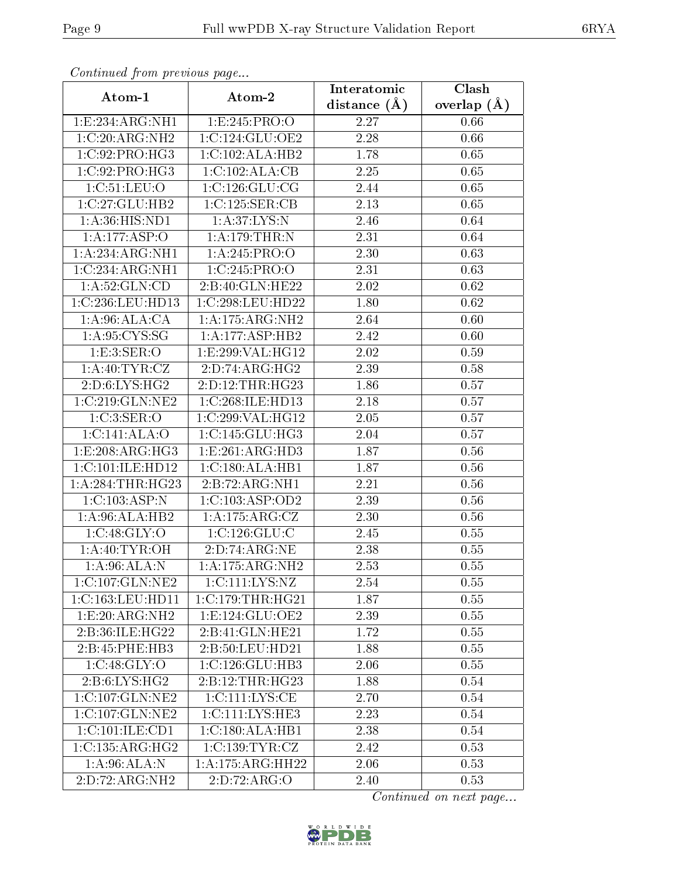| Continua from pretious page   |                                    | Interatomic       | Clash           |
|-------------------------------|------------------------------------|-------------------|-----------------|
| Atom-1                        | Atom-2                             | distance $(A)$    | overlap $(\AA)$ |
| 1:E:234:ARG:NH1               | 1:E:245:PRO:O                      | 2.27              | 0.66            |
| 1:C:20:ARG:NH2                | 1:C:124:GLU:OE2                    | $\overline{2}.28$ | 0.66            |
| 1: C:92: PRO:HG3              | 1:C:102:ALA:HB2                    | 1.78              | 0.65            |
| 1:C:92:PRO:HG3                | 1:C:102:ALA:CB                     | 2.25              | 0.65            |
| 1:C:51:LEU:O                  | 1:C:126:GLU:CG                     | 2.44              | 0.65            |
| 1:C:27:GLU:HB2                | 1:C:125:SER:CB                     | 2.13              | 0.65            |
| 1: A:36: HIS: ND1             | 1: A:37: LYS: N                    | 2.46              | 0.64            |
| 1:A:177:ASP:O                 | 1: A:179:THR:N                     | 2.31              | 0.64            |
| 1:A:234:ARG:NH1               | 1:A:245:PRO:O                      | 2.30              | 0.63            |
| 1:C:234:ARG:NH1               | 1:C:245:PRO:O                      | 2.31              | 0.63            |
| 1: A:52: GLN:CD               | 2:B:40:GLN:HE22                    | 2.02              | 0.62            |
| 1:C:236:LEU:HD13              | 1:C:298:LEU:HD22                   | 1.80              | 0.62            |
| 1: A:96: ALA:CA               | 1: A:175: ARG: NH2                 | 2.64              | 0.60            |
| 1: A:95: CYS:SG               | 1:A:177:ASP:HB2                    | 2.42              | 0.60            |
| 1:E:3:SER:O                   | 1:E:299:VAL:HG12                   | 2.02              | 0.59            |
| 1: A:40: TYR: CZ              | 2:D:74:ARG:HG2                     | 2.39              | 0.58            |
| 2:D:6:LYS:HG2                 | 2:D:12:THR:HG23                    | 1.86              | 0.57            |
| 1:C:219:GLN:NE2               | 1:C:268:ILE:HD13                   | 2.18              | 0.57            |
| 1:C:3:SER:O                   | 1:C:299:VAL:HG12                   | 2.05              | 0.57            |
| 1:C:141:ALA:O                 | $1:C:145:GLU:H\overline{G3}$       | $2.04\,$          | 0.57            |
| 1:E:208:ARG:HG3               | 1: E:261: ARG:HD3                  | $\overline{1.87}$ | 0.56            |
| 1:C:101:ILE:HD12              | 1:C:180:ALA:HB1                    | 1.87              | 0.56            |
| 1: A:284:THR:HG23             | 2:B:72:ARG:NH1                     | 2.21              | 0.56            |
| 1:C:103:ASP:N                 | 1:C:103:ASP:OD2                    | 2.39              | 0.56            |
| 1: A:96:ALA:HB2               | 1:A:175:ARG:CZ                     | 2.30              | 0.56            |
| 1:C:48:GLY:O                  | 1:C:126:GLU:C                      | $\overline{2}.45$ | 0.55            |
| 1: A:40: TYR:OH               | 2:D:74:ARG:NE                      | 2.38              | 0.55            |
| $1:A:96:ALA:\overline{N}$     | 1:A:175:ARG:NH2                    | 2.53              | 0.55            |
| 1:C:107:GLN:NE2               | $1:C:111:\overline{\text{LYS:NZ}}$ | 2.54              | 0.55            |
| 1:C:163:LEU:HD11              | 1:C:179:THR:HG21                   | 1.87              | 0.55            |
| 1:E:20:ARG:NH2                | 1: E: 124: GLU: OE2                | 2.39              | 0.55            |
| 2:B:36:ILE:HG22               | 2:B:41:GLN:HE21                    | 1.72              | 0.55            |
| 2:B:45:PHE:HB3                | 2:B:50:LEU:HD21                    | 1.88              | 0.55            |
| 1:C:48:GLY:O                  | 1:C:126:GLU:HB3                    | 2.06              | 0.55            |
| 2: B:6: LYS: HG2              | 2:B:12:THR:HG23                    | 1.88              | 0.54            |
| 1:C:107:GLN:NE2               | 1:C:111:LYS:CE                     | 2.70              | 0.54            |
| 1:C:107:GLN:NE2               | 1:C:111:LYS:HE3                    | 2.23              | 0.54            |
| $1:C:101:ILE: \overline{CD1}$ | 1:C:180:ALA:HB1                    | 2.38              | 0.54            |
| 1:C:135:ARG:HG2               | 1:C:139:TYR:CZ                     | 2.42              | 0.53            |
| 1:A:96:ALA:N                  | 1: A:175: ARG: HH22                | 2.06              | 0.53            |
| 2:D:72:ARG:NH2                | 2:D:72:ARG:O                       | 2.40              | 0.53            |

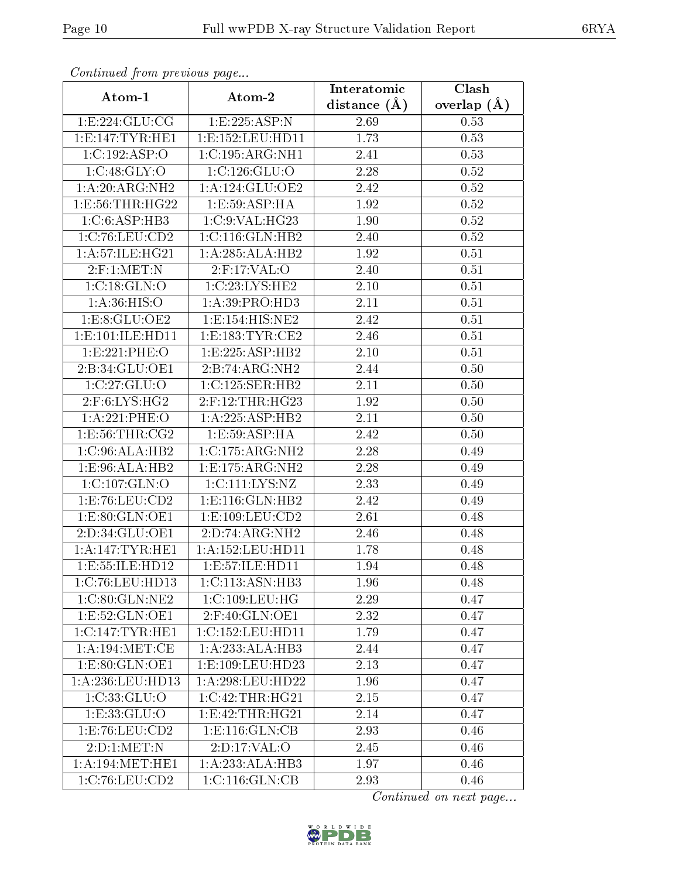| Comunaca jiom previous page |                                | Interatomic    | Clash           |  |
|-----------------------------|--------------------------------|----------------|-----------------|--|
| Atom-1                      | Atom-2                         | distance $(A)$ | overlap $(\AA)$ |  |
| 1:E:224:GLU:CG              | 1:E:225:ASP:N                  | 2.69           | 0.53            |  |
| 1: E: 147: TYR: HE1         | 1: E: 152: LEU: HD11           | 1.73           | 0.53            |  |
| 1:C:192:ASP:O               | 1:C:195:ARG:NH1                | 2.41           | 0.53            |  |
| 1:C:48:GLY:O                | 1:C:126:GLU:O                  | 2.28           | 0.52            |  |
| 1: A:20: ARG: NH2           | 1:A:124:GLU:OE2                | 2.42           | 0.52            |  |
| 1:E:56:THR:HG22             | 1:E:59:ASP:HA                  | 1.92           | 0.52            |  |
| 1:C:6:ASP:HB3               | 1:C:9:VAL:HG23                 | 1.90           | $0.52\,$        |  |
| 1:C:76:LEU:CD2              | 1:C:116:GLN:HB2                | 2.40           | 0.52            |  |
| 1:A:57:ILE:HG21             | 1:A:285:ALA:HB2                | 1.92           | 0.51            |  |
| $2:$ F:1:MET:N              | $2:$ F:17:VAL:O                | 2.40           | 0.51            |  |
| 1:C:18:GLN:O                | 1:C:23:LYS:HE2                 | $2.10\,$       | 0.51            |  |
| 1: A:36: HIS:O              | 1:A:39:PRO:HD3                 | 2.11           | 0.51            |  |
| 1: E: 8: GLU: OE2           | 1: E: 154: HIS: NE2            | 2.42           | 0.51            |  |
| 1: E: 101: ILE: HD11        | 1: E: 183: TYR: CE2            | 2.46           | 0.51            |  |
| 1:E:221:PHE:O               | 1:E:225:ASP:HB2                | $2.10\,$       | 0.51            |  |
| 2: B:34: GLU:OE1            | 2:B:74:ARG:NH2                 | 2.44           | 0.50            |  |
| 1:C:27:GLU:O                | 1:C:125:SER:HB2                | 2.11           | 0.50            |  |
| 2:F:6:LYS:HG2               | $2:$ F:12:THR:HG23             | 1.92           | 0.50            |  |
| 1:A:221:PHE:O               | 1:A:225:ASP:HB2                | 2.11           | 0.50            |  |
| 1: E:56: THR: CG2           | 1:E:59:ASP:HA                  | 2.42           | 0.50            |  |
| 1:C:96:ALA:HB2              | 1:C:175:ARG:NH2                | 2.28           | 0.49            |  |
| 1:E:96:ALA:HB2              | 1:E:175:ARG:NH2                | 2.28           | 0.49            |  |
| 1:C:107:GLN:O               | 1:C:111:LYS:NZ                 | 2.33           | 0.49            |  |
| 1: E: 76: LEU: CD2          | 1: E: 116: GLN: HB2            | 2.42           | 0.49            |  |
| 1:E:80:GLN:OE1              | 1: E: 109: LEU: CD2            | 2.61           | 0.48            |  |
| 2:D:34:GLU:OE1              | 2:D:74:ARG:NH2                 | 2.46           | 0.48            |  |
| 1: A:147:TYR:HE1            | 1:A:152:LEU:HD11               | 1.78           | 0.48            |  |
| 1: E: 55: ILE: HD12         | 1:E:57:ILE:HD11                | 1.94           | 0.48            |  |
| 1:C:76:LEU:HD13             | 1:C:113:ASN:HB3                | 1.96           | 0.48            |  |
| 1:C:80:GLN:NE2              | 1:C:109:LEU:HG                 | 2.29           | 0.47            |  |
| 1:E:52:GLN:OE1              | 2:F:40:GLN:OE1                 | 2.32           | 0.47            |  |
| 1:C:147:TYR:HE1             | 1:C:152:LEU:HD11               | 1.79           | 0.47            |  |
| 1: A:194: MET:CE            | 1:A:233:ALA:HB3                | 2.44           | 0.47            |  |
| 1:E:80:GLN:OE1              | 1: E: 109: LEU: HD23           | 2.13           | 0.47            |  |
| 1: A:236:LEU:HD13           | 1: A:298:LEU:HD22              | 1.96           | 0.47            |  |
| 1:C:33:GLU:O                | 1:C:42:THR:HG21                | 2.15           | 0.47            |  |
| 1: E: 33: GLU: O            | 1: E: 42: THR: HG21            | 2.14           | 0.47            |  |
| 1:E:76:LEU:CD2              | $1: E: 116: \overline{GLN:CB}$ | 2.93           | 0.46            |  |
| 2:D:1:MET:N                 | 2:D:17:VAL:O                   | 2.45           | 0.46            |  |
| 1: A:194:MET:HE1            | 1:A:233:ALA:HB3                | 1.97           | 0.46            |  |
| 1:C:76:LEU:CD2              | 1:C:116:GLN:CB                 | 2.93           | 0.46            |  |

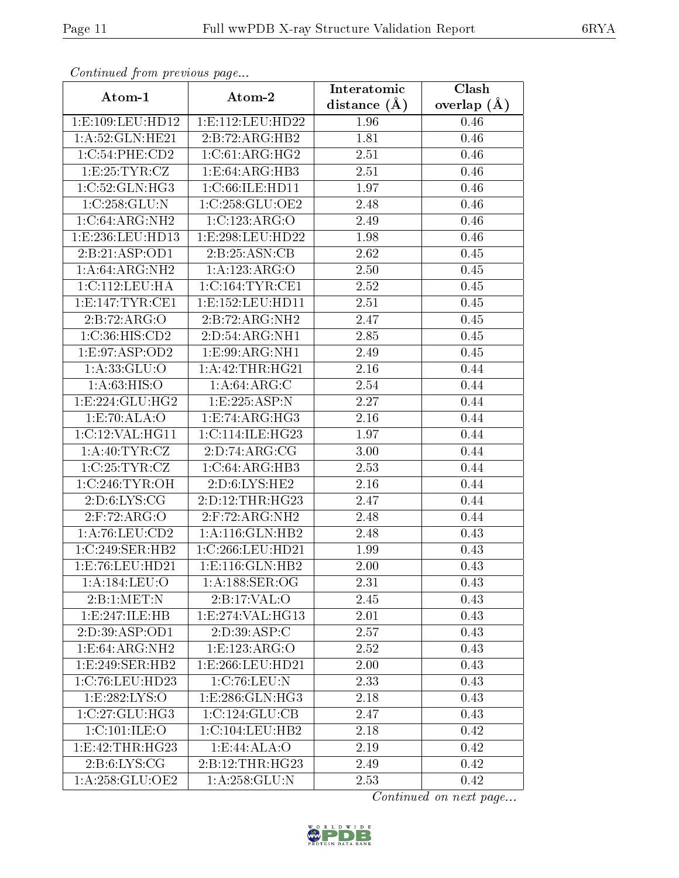| Continuea from previous page |                      | Interatomic       | Clash           |  |
|------------------------------|----------------------|-------------------|-----------------|--|
| Atom-1                       | Atom-2               | distance $(A)$    | overlap $(\AA)$ |  |
| 1:E:109:LEU:HD12             | 1: E: 112: LEU: HD22 | 1.96              | 0.46            |  |
| 1: A:52: GLN: HE21           | 2:B:72:ARG:HB2       | 1.81              | $0.46\,$        |  |
| 1:C:54:PHE:CD2               | 1:C:61:ARG:HG2       | 2.51              | 0.46            |  |
| 1:E:25:TYR:CZ                | 1:E:64:ARG:HB3       | 2.51              | 0.46            |  |
| 1:C:52:GLN:HG3               | 1:C:66:ILE:HD11      | 1.97              | 0.46            |  |
| 1:C:258:GLU:N                | 1:C:258:GLU:OE2      | 2.48              | 0.46            |  |
| $1:C:64:ARG:\overline{NH2}$  | 1:C:123:ARG:O        | 2.49              | 0.46            |  |
| 1:E:236:LEU:HD13             | 1:E:298:EU:HD22      | 1.98              | 0.46            |  |
| 2:Bi:21:ASP:OD1              | 2:B:25:ASN:CB        | $\overline{2}.62$ | 0.45            |  |
| 1: A:64: ARG: NH2            | 1:A:123:ARG:O        | 2.50              | 0.45            |  |
| 1:C:112:LEU:HA               | 1:C:164:TYR:CE1      | 2.52              | 0.45            |  |
| 1: E:147: TYR: CE1           | 1: E: 152: LEU: HD11 | 2.51              | 0.45            |  |
| 2:B:72:ARG:O                 | 2:B:72:ARG:NH2       | 2.47              | 0.45            |  |
| 1:C:36:HIS:CD2               | 2:D:54:ARG:NH1       | 2.85              | 0.45            |  |
| 1:E:97:ASP:OD2               | 1:E:99:ARG:NH1       | 2.49              | 0.45            |  |
| 1:A:33:GLU:O                 | 1: A:42:THR:HG21     | 2.16              | 0.44            |  |
| 1:A:63:HIS:O                 | 1:A:64:ARG:C         | 2.54              | 0.44            |  |
| 1: E: 224: GLU: HG2          | 1: E: 225: ASP: N    | 2.27              | 0.44            |  |
| 1:E:70:ALA:O                 | 1:E:74:ARG:HG3       | 2.16              | 0.44            |  |
| 1:C:12:VAL:HG11              | 1:C:114:ILE:HG23     | 1.97              | 0.44            |  |
| 1: A:40: TYR: CZ             | 2:D:74:ARG:CG        | 3.00              | 0.44            |  |
| 1:C:25:TYR:CZ                | 1:C:64:ARG:HB3       | 2.53              | 0.44            |  |
| 1:C:246:TYR:OH               | 2:D:6:LYS:HE2        | 2.16              | 0.44            |  |
| 2: D:6: LYS: CG              | 2:D:12:THR:HG23      | 2.47              | 0.44            |  |
| 2: F: 72: ARG: O             | 2:F:72:ARG:NH2       | 2.48              | 0.44            |  |
| 1: A:76: LEU:CD2             | 1:A:116:GLN:HB2      | 2.48              | 0.43            |  |
| 1:C:249:SER:HB2              | 1:C:266:LEU:HD21     | 1.99              | 0.43            |  |
| 1:E:76:LEU:HD21              | 1: E: 116: GLN: HB2  | 2.00              | 0.43            |  |
| 1: A: 184: LEU: O            | 1: A: 188: SER: OG   | 2.31              | 0.43            |  |
| 2: B: 1: MET: N              | 2:B:17:VAL:O         | 2.45              | 0.43            |  |
| 1: E: 247: ILE: HB           | 1: E: 274: VAL: HG13 | 2.01              | 0.43            |  |
| 2:D:39:ASP:OD1               | 2: D:39: ASP:C       | 2.57              | 0.43            |  |
| 1:E:64:ARG:NH2               | 1:E:123:ARG:O        | 2.52              | 0.43            |  |
| 1:E:249:SER:HB2              | 1:E:266:LEU:HD21     | 2.00              | 0.43            |  |
| 1:C:76:LEU:HD23              | 1:C:76:LEU:N         | 2.33              | 0.43            |  |
| 1:E:282:LYS:O                | 1: E: 286: GLN: HG3  | 2.18              | 0.43            |  |
| 1:C:27:GLU:HG3               | 1:C:124:GLU:CB       | 2.47              | 0.43            |  |
| 1:C:101:ILE:O                | 1:C:104:LEU:HB2      | 2.18              | 0.42            |  |
| 1:E:42:THR:HG23              | 1:E:44:ALA:O         | 2.19              | 0.42            |  |
| 2: B:6: LYS: CG              | 2:B:12:THR:HG23      | 2.49              | 0.42            |  |
| 1: A:258: GLU:OE2            | 1: A: 258: GLU: N    | 2.53              | 0.42            |  |

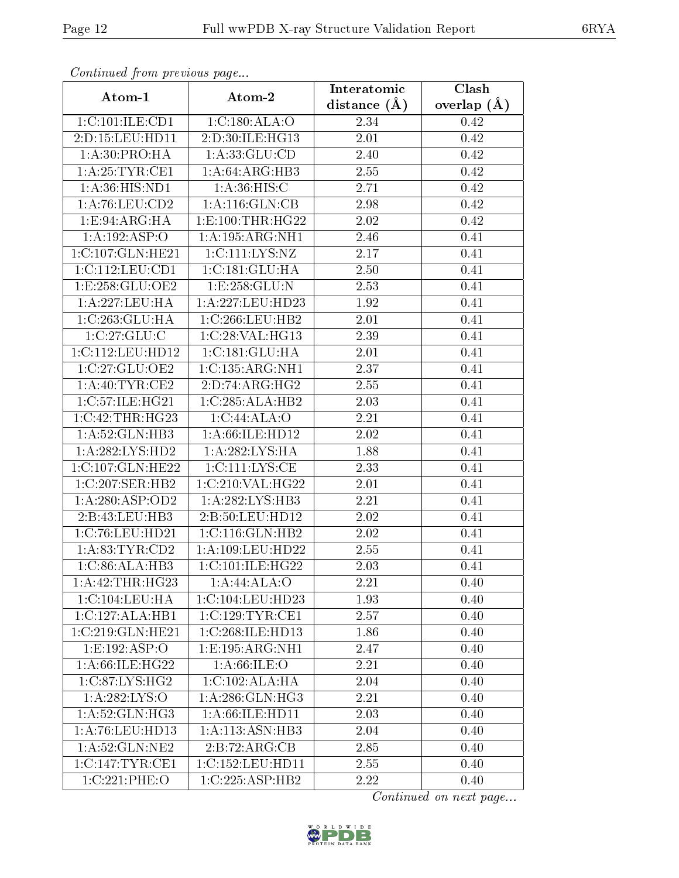| Comunaca jiom previous page               |                     | Interatomic       | Clash<br>overlap $(\AA)$ |  |
|-------------------------------------------|---------------------|-------------------|--------------------------|--|
| Atom-1                                    | Atom-2              | distance $(A)$    |                          |  |
| 1:C:101:ILE:CD1                           | 1:C:180:ALA:O       | 2.34              | 0.42                     |  |
| 2:D:15:LEU:HD11                           | 2:D:30:ILE:HG13     | 2.01              | 0.42                     |  |
| 1: A:30: PRO:HA                           | 1: A: 33: GLU: CD   | 2.40              | 0.42                     |  |
| 1: A:25:TYR:CE1                           | 1: A:64: ARG:HB3    | 2.55              | 0.42                     |  |
| 1: A:36: HIS: ND1                         | 1:A:36:HIS:C        | 2.71              | 0.42                     |  |
| 1: A:76: LEU:CD2                          | 1: A:116: GLN:CB    | 2.98              | 0.42                     |  |
| 1: E: 94: ARG: HA                         | 1:E:100:THR:HG22    | 2.02              | 0.42                     |  |
| 1:A:192:ASP:O                             | 1: A: 195: ARG: NH1 | 2.46              | 0.41                     |  |
| 1:C:107:GLN:HE21                          | 1:C:111:LYS:NZ      | 2.17              | 0.41                     |  |
| 1: C: 112: LEU: CD1                       | 1:C:181:GLU:HA      | 2.50              | 0.41                     |  |
| 1:E:258:GLU:OE2                           | 1:E:258:GLU:N       | 2.53              | 0.41                     |  |
| 1: A: 227: LEU: HA                        | $1:$ A:227:LEU:HD23 | 1.92              | $\overline{0.41}$        |  |
| 1:C:263:GLU:HA                            | 1:C:266:LEU:HB2     | 2.01              | 0.41                     |  |
| 1:C:27:GLU:C                              | 1:C:28:VAL:HG13     | 2.39              | 0.41                     |  |
| 1:C:112:LEU:HD12                          | 1:C:181:GLU:HA      | 2.01              | 0.41                     |  |
| 1:C:27:GLU:OE2                            | 1:C:135:ARG:NH1     | 2.37              | 0.41                     |  |
| 1: A:40: TYR: CE2                         | 2:D:74:ARG:HG2      | 2.55              | 0.41                     |  |
| 1:C:57:ILE:HG21                           | 1:C:285:ALA:HB2     | 2.03              | 0.41                     |  |
| 1:C:42:THR:HG23                           | 1:C:44:ALA:O        | 2.21              | 0.41                     |  |
| 1: A:52: GLN:HB3                          | 1: A:66: ILE: HD12  | 2.02              | 0.41                     |  |
| 1:A:282:LYS:HD2                           | 1: A:282:LYS:HA     | 1.88              | 0.41                     |  |
| 1:C:107:GLN:HE22                          | 1: C: 111: LYS: CE  | 2.33              | 0.41                     |  |
| 1:C:207:SER:HB2                           | 1:C:210:VAL:HG22    | 2.01              | 0.41                     |  |
| 1:A:280:ASP:OD2                           | 1:A:282:LYS:HB3     | 2.21              | 0.41                     |  |
| 2:B:43:LEU:HB3                            | 2:B:50:LEU:HD12     | 2.02              | 0.41                     |  |
| 1:C:76:LEU:HD21                           | 1:C:116:GLN:HB2     | $\overline{2.02}$ | 0.41                     |  |
| 1: A:83: TYR:CD2                          | 1:A:109:LEU:HD22    | 2.55              | 0.41                     |  |
| 1:C:86:ALA:HB3                            | 1:C:101:ILE:HG22    | 2.03              | 0.41                     |  |
| 1:A:42:THR:HG23                           | 1:A:44:ALA:O        | 2.21              | 0.40                     |  |
| 1:C:104:LEU:HA                            | 1:C:104:LEU:HD23    | 1.93              | 0.40                     |  |
| $1:C:\overline{127:ALA:HB1}$              | 1:C:129:TYR:CE1     | 2.57              | 0.40                     |  |
| 1:C:219:GLN:HE21                          | 1:C:268:ILE:HD13    | 1.86              | 0.40                     |  |
| 1: E: 192: ASP:O                          | 1:E:195:ARG:NH1     | 2.47              | 0.40                     |  |
| 1:A:66:ILE:HG22                           | 1: A:66: ILE: O     | 2.21              | 0.40                     |  |
| $1:C:87:\overline{\text{LYS}:\text{HG2}}$ | 1:C:102:ALA:HA      | 2.04              | 0.40                     |  |
| 1: A: 282: LYS: O                         | 1:A:286:GLN:HG3     | 2.21              | 0.40                     |  |
| 1:A:52:GLN:HG3                            | 1: A:66: ILE: HD11  | 2.03              | 0.40                     |  |
| 1:A:76:LEU:HD13                           | 1:A:113:ASN:HB3     | 2.04              | 0.40                     |  |
| 1: A:52: GLN: NE2                         | 2:B:72:ARG:CB       | 2.85              | 0.40                     |  |
| 1:C:147:TYR:CE1                           | 1:C:152:LEU:HD11    | 2.55              | 0.40                     |  |
| 1:C:221:PHE:O                             | 1:C:225:ASP:HB2     | 2.22              | 0.40                     |  |

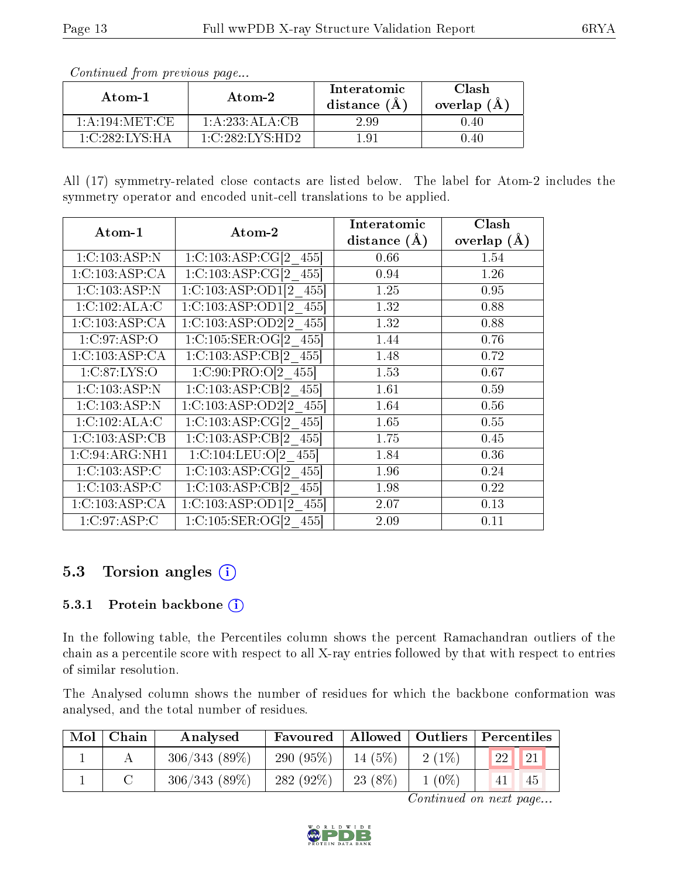| Atom-2<br>Atom-1 |                 | Interatomic<br>distance $(\AA)$ | Clash<br>overlap $(A)$ |  |
|------------------|-----------------|---------------------------------|------------------------|--|
| 1: A:194: MET:CE | 1: A:233:ALA:CB | 2.99                            | 0.40                   |  |
| 1:C:282:LYS:HA   | 1:C:282:LYS:HD2 | 1 Q.                            | ) 40                   |  |

All (17) symmetry-related close contacts are listed below. The label for Atom-2 includes the symmetry operator and encoded unit-cell translations to be applied.

| Atom-1         |                                        | Interatomic    | Clash         |  |
|----------------|----------------------------------------|----------------|---------------|--|
|                | Atom-2                                 | distance $(A)$ | overlap $(A)$ |  |
| 1:C:103:ASP:N  | 1:C:103:ASP:CG[2 455]                  | 0.66           | 1.54          |  |
| 1:C:103:ASP:CA | 1:C:103:ASP:CG[2 455]                  | 0.94           | 1.26          |  |
| 1:C:103:ASP:N  | 1:C:103:ASP:OD1[2 455]                 | 1.25           | 0.95          |  |
| 1:C:102:ALA:C  | $1:C:103:ASP:OD1[2 \quad 455]$         | 1.32           | 0.88          |  |
| 1:C:103:ASP:CA | $1:C:103:ASP:OD2[2 \quad 455]$         | 1.32           | 0.88          |  |
| 1:C:97:ASP:O   | 1:C:105:SER:OG[2 455]                  | 1.44           | 0.76          |  |
| 1:C:103:ASP:CA | $1:C:103:ASP:CB[2 \ 455]$              | 1.48           | 0.72          |  |
| 1:C:87:LYS:O   | $1:C:90:P\overline{RO}$ : $O[2 \ 455]$ | 1.53           | 0.67          |  |
| 1:C:103:ASP:N  | $1:C:103:ASP:CB[2 \t 455]$             | 1.61           | 0.59          |  |
| 1:C:103:ASP:N  | $1:C:103:ASP:OD2[2 \quad 455]$         | 1.64           | 0.56          |  |
| 1:C:102:ALA:C  | 1:C:103:ASP:CG[2 455]                  | 1.65           | 0.55          |  |
| 1:C:103:ASP:CB | 1:C:103:ASP:CB[2 455]                  | 1.75           | 0.45          |  |
| 1:C:94:ARG:NH1 | 1:C:104:LEU:O[2 455]                   | 1.84           | 0.36          |  |
| 1:C:103:ASP:C  | 1:C:103:ASP:CG[2 455]                  | 1.96           | 0.24          |  |
| 1:C:103:ASP:C  | 1:C:103:ASP:CB[2 455]                  | 1.98           | 0.22          |  |
| 1:C:103:ASP:CA | $1:C:103:ASP:OD1[2 \quad 455]$         | 2.07           | 0.13          |  |
| 1:C:97:ASP:C   | 1:C:105:SER:OG[2 455]                  | 2.09           | 0.11          |  |

### 5.3 Torsion angles  $(i)$

#### 5.3.1 Protein backbone  $(i)$

In the following table, the Percentiles column shows the percent Ramachandran outliers of the chain as a percentile score with respect to all X-ray entries followed by that with respect to entries of similar resolution.

The Analysed column shows the number of residues for which the backbone conformation was analysed, and the total number of residues.

| Mol | Chain | Analysed     | Favoured     |           | Allowed   Outliers   Percentiles |                            |            |
|-----|-------|--------------|--------------|-----------|----------------------------------|----------------------------|------------|
|     |       | 306/343(89%) | 290 $(95\%)$ | $14(5\%)$ | $2(1\%)$                         | $^{\prime}$ 22 $\parallel$ | $\vert$ 21 |
|     |       | 306/343(89%) | 282 $(92\%)$ | $23(8\%)$ | $1(0\%)$                         |                            | 45         |

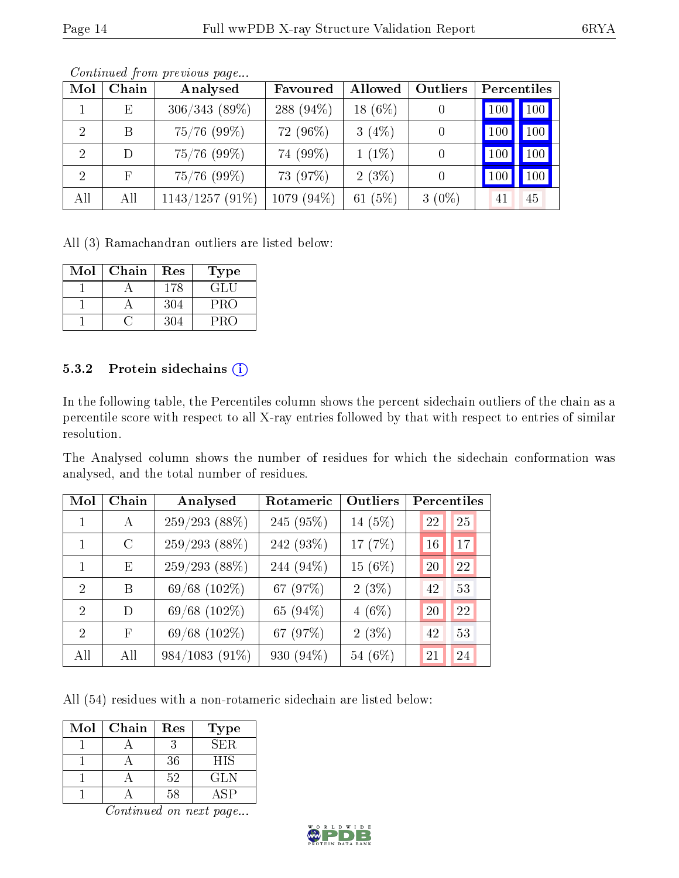| Mol           | Chain  | Analysed          | Favoured     | Allowed    | Outliers |     | Percentiles         |
|---------------|--------|-------------------|--------------|------------|----------|-----|---------------------|
|               | E      | $306/343(89\%)$   | 288 $(94\%)$ | 18 $(6%)$  |          | 100 | $\vert$ 100 $\vert$ |
|               | В      | $75/76$ (99%)     | 72 (96%)     | 3(4%)      |          | 100 | 100                 |
|               | $\Box$ | $75/76$ (99%)     | 74 (99%)     | $1(1\%)$   |          | 100 | 100                 |
| $\mathcal{D}$ | F      | $75/76$ (99%)     | 73 (97%)     | $2(3\%)$   |          | 100 | 100                 |
| All           | All    | $1143/1257(91\%)$ | 1079 (94%)   | (5%)<br>61 | $3(0\%)$ | 41  | 45                  |

All (3) Ramachandran outliers are listed below:

| $\operatorname{Mol}$ | Chain | Res | Type |
|----------------------|-------|-----|------|
|                      |       | 178 | GLU  |
|                      |       | 304 | PRO  |
|                      |       | 304 | PRO  |

#### 5.3.2 Protein sidechains (i)

In the following table, the Percentiles column shows the percent sidechain outliers of the chain as a percentile score with respect to all X-ray entries followed by that with respect to entries of similar resolution.

The Analysed column shows the number of residues for which the sidechain conformation was analysed, and the total number of residues.

| Mol           | Chain         | Analysed          | Rotameric | Outliers  | Percentiles |
|---------------|---------------|-------------------|-----------|-----------|-------------|
|               | A             | $259/293$ (88%)   | 245 (95%) | 14 (5%)   | 22<br>25    |
|               | $\mathcal{C}$ | $259/293(88\%)$   | 242 (93%) | 17 (7%)   | 17<br>16    |
|               | E             | $259/293(88\%)$   | 244 (94%) | $15(6\%)$ | 22<br>20    |
| $\mathcal{D}$ | В             | 69/68 (102%)      | 67 (97%)  | 2(3%)     | 53<br>42    |
| $\mathcal{D}$ | D             | 69/68 (102%)      | 65 (94%)  | $4(6\%)$  | 22<br>20    |
| $\mathcal{D}$ | F             | $69/68$ $(102\%)$ | 67 (97%)  | 2(3%)     | 42<br>53    |
| All           | All           | $984/1083(91\%)$  | 930 (94%) | 54 (6%)   | 24<br>21    |

All (54) residues with a non-rotameric sidechain are listed below:

| Mol | Chain | Res | <b>Type</b> |
|-----|-------|-----|-------------|
|     |       |     | SER.        |
|     |       | 36  | <b>HIS</b>  |
|     |       | 52  | GL N        |
|     |       | 58  | ASP         |

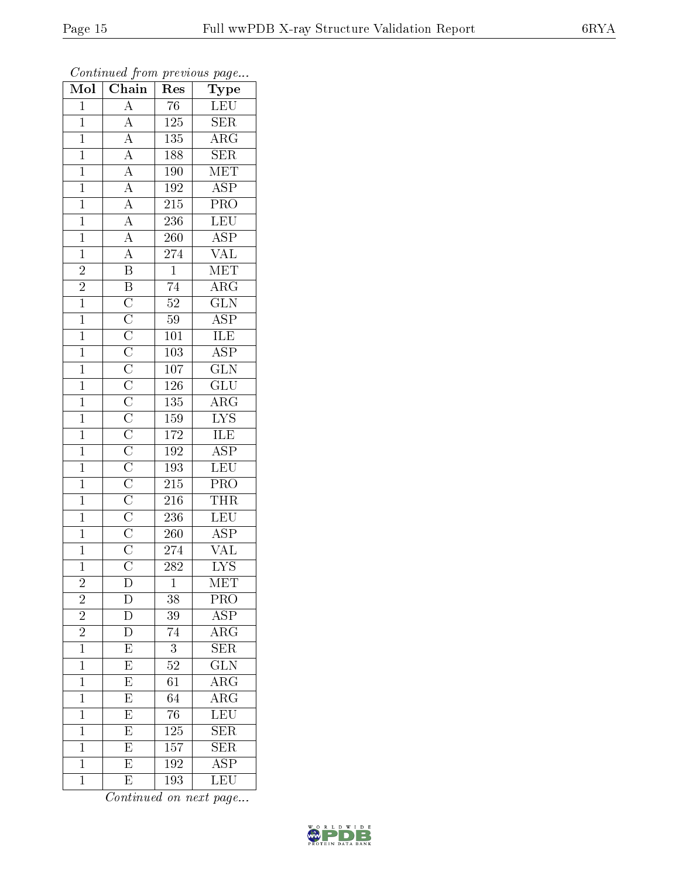| Mol            | $\overline{\text{Chain}}$                                                                                                                                                                                                                                                                                                                                                                                                                                                                                                       | ${\mathop{\mathrm{Res}}\nolimits}$ | ${\rm \bar{Type}}$              |
|----------------|---------------------------------------------------------------------------------------------------------------------------------------------------------------------------------------------------------------------------------------------------------------------------------------------------------------------------------------------------------------------------------------------------------------------------------------------------------------------------------------------------------------------------------|------------------------------------|---------------------------------|
| $\mathbf{1}$   | $\overline{A}$                                                                                                                                                                                                                                                                                                                                                                                                                                                                                                                  | 76                                 | <b>LEU</b>                      |
| $\mathbf{1}$   |                                                                                                                                                                                                                                                                                                                                                                                                                                                                                                                                 | 125                                | $\overline{\text{SER}}$         |
| $\overline{1}$ |                                                                                                                                                                                                                                                                                                                                                                                                                                                                                                                                 | 135                                | $\overline{\rm{ARG}}$           |
| $\mathbf{1}$   |                                                                                                                                                                                                                                                                                                                                                                                                                                                                                                                                 | 188                                | $\overline{\text{SER}}$         |
| $\overline{1}$ |                                                                                                                                                                                                                                                                                                                                                                                                                                                                                                                                 | <b>190</b>                         | <b>MET</b>                      |
| $\mathbf{1}$   |                                                                                                                                                                                                                                                                                                                                                                                                                                                                                                                                 | 192                                | $\overline{\text{ASP}}$         |
| $\mathbf{1}$   |                                                                                                                                                                                                                                                                                                                                                                                                                                                                                                                                 | 215                                | $\overline{\text{PRO}}$         |
| $\overline{1}$ |                                                                                                                                                                                                                                                                                                                                                                                                                                                                                                                                 | 236                                | LEU                             |
| $\mathbf{1}$   |                                                                                                                                                                                                                                                                                                                                                                                                                                                                                                                                 | $260\,$                            | $\overline{\text{ASP}}$         |
| $\overline{1}$ |                                                                                                                                                                                                                                                                                                                                                                                                                                                                                                                                 | 274                                | $\frac{\text{VAL}}{\text{MET}}$ |
| $\overline{2}$ |                                                                                                                                                                                                                                                                                                                                                                                                                                                                                                                                 | $\mathbf{1}$                       |                                 |
| $\overline{2}$ |                                                                                                                                                                                                                                                                                                                                                                                                                                                                                                                                 | $\overline{74}$                    | $\overline{\text{ARG}}$         |
| $\overline{1}$ |                                                                                                                                                                                                                                                                                                                                                                                                                                                                                                                                 | $\overline{52}$                    | $\overline{\text{GLN}}$         |
| $\overline{1}$ |                                                                                                                                                                                                                                                                                                                                                                                                                                                                                                                                 | $\overline{59}$                    | $\overline{\text{ASP}}$         |
| $\overline{1}$ | $\frac{\overline{A}}{\overline{A}} \frac{\overline{A}}{\overline{A}} \frac{\overline{A}}{\overline{A}} \frac{\overline{A}}{\overline{A}} \frac{\overline{A}}{\overline{A}} \frac{\overline{A}}{\overline{B}} \frac{\overline{B}}{\overline{B}} \frac{\overline{C}}{\overline{C}} \frac{\overline{C}}{\overline{C}} \frac{\overline{C}}{\overline{C}} \frac{\overline{C}}{\overline{C}} \frac{\overline{C}}{\overline{C}} \frac{\overline{C}}{\overline{C}} \frac{\overline{C}}{\overline{C}} \frac{\overline{C}}{\overline{C}}$ | $\overline{101}$                   | <b>ILE</b>                      |
| $\mathbf{1}$   |                                                                                                                                                                                                                                                                                                                                                                                                                                                                                                                                 | 103                                | $\overline{\text{ASP}}$         |
| $\overline{1}$ |                                                                                                                                                                                                                                                                                                                                                                                                                                                                                                                                 | $\overline{107}$                   | $\overline{\text{GLN}}$         |
| $\mathbf{1}$   |                                                                                                                                                                                                                                                                                                                                                                                                                                                                                                                                 | 126                                | $\overline{\text{GLU}}$         |
| $\overline{1}$ |                                                                                                                                                                                                                                                                                                                                                                                                                                                                                                                                 | 135                                | $\overline{\rm ARG}$            |
| $\overline{1}$ |                                                                                                                                                                                                                                                                                                                                                                                                                                                                                                                                 | 159                                | $\frac{\text{LYS}}{\text{ILE}}$ |
| $\mathbf{1}$   |                                                                                                                                                                                                                                                                                                                                                                                                                                                                                                                                 | 172                                |                                 |
| $\overline{1}$ |                                                                                                                                                                                                                                                                                                                                                                                                                                                                                                                                 | $\overline{192}$                   | $\overline{\text{ASP}}$         |
| $\mathbf{1}$   |                                                                                                                                                                                                                                                                                                                                                                                                                                                                                                                                 | 193                                | LEU                             |
| $\overline{1}$ |                                                                                                                                                                                                                                                                                                                                                                                                                                                                                                                                 | 215                                | $\overline{\text{PRO}}$         |
| $\mathbf{1}$   |                                                                                                                                                                                                                                                                                                                                                                                                                                                                                                                                 | 216                                | <b>THR</b>                      |
| $\mathbf{1}$   |                                                                                                                                                                                                                                                                                                                                                                                                                                                                                                                                 | 236                                | LEU                             |
| $\mathbf{1}$   |                                                                                                                                                                                                                                                                                                                                                                                                                                                                                                                                 | 260                                | $\overline{\text{ASP}}$         |
| $\mathbf{1}$   |                                                                                                                                                                                                                                                                                                                                                                                                                                                                                                                                 | 274                                | VAL                             |
| $\overline{1}$ |                                                                                                                                                                                                                                                                                                                                                                                                                                                                                                                                 | $\overline{282}$                   | $\overline{\mathrm{LYS}}$       |
| $\overline{c}$ | D                                                                                                                                                                                                                                                                                                                                                                                                                                                                                                                               | $\mathbf 1$                        | MET                             |
| $\overline{2}$ | D                                                                                                                                                                                                                                                                                                                                                                                                                                                                                                                               | 38                                 | PRO                             |
| $\overline{2}$ | $\overline{\rm D}$                                                                                                                                                                                                                                                                                                                                                                                                                                                                                                              | 39                                 | $\overline{\text{ASP}}$         |
| $\overline{2}$ | D                                                                                                                                                                                                                                                                                                                                                                                                                                                                                                                               | 74                                 | $\overline{\rm ARG}$            |
| $\overline{1}$ | $\overline{E}$                                                                                                                                                                                                                                                                                                                                                                                                                                                                                                                  | $\overline{3}$                     | $\overline{\text{SER}}$         |
| $\mathbf{1}$   | $\overline{\mathrm{E}}$                                                                                                                                                                                                                                                                                                                                                                                                                                                                                                         | 52                                 | $\overline{{\rm GLN}}$          |
| $\mathbf 1$    | $\overline{E}$                                                                                                                                                                                                                                                                                                                                                                                                                                                                                                                  | 61                                 | $\overline{\rm{ARG}}$           |
| $\mathbf{1}$   | $\overline{E}$                                                                                                                                                                                                                                                                                                                                                                                                                                                                                                                  | 64                                 | $\rm{ARG}$                      |
| $\overline{1}$ | $\overline{\mathrm{E}}$                                                                                                                                                                                                                                                                                                                                                                                                                                                                                                         | $\overline{76}$                    | $\overline{\text{LEU}}$         |
| $\mathbf 1$    | $\overline{\mathrm{E}}$                                                                                                                                                                                                                                                                                                                                                                                                                                                                                                         | $1\overline{25}$                   | $\overline{\text{SER}}$         |
| $\mathbf{1}$   | $\overline{\mathrm{E}}$                                                                                                                                                                                                                                                                                                                                                                                                                                                                                                         | 157                                | <b>SER</b>                      |
| $\mathbf{1}$   | $\overline{\mathrm{E}}$                                                                                                                                                                                                                                                                                                                                                                                                                                                                                                         | 192                                | $\overline{\rm ASP}$            |
| $\mathbf{1}$   | E                                                                                                                                                                                                                                                                                                                                                                                                                                                                                                                               | $\overline{193}$                   | LEU                             |

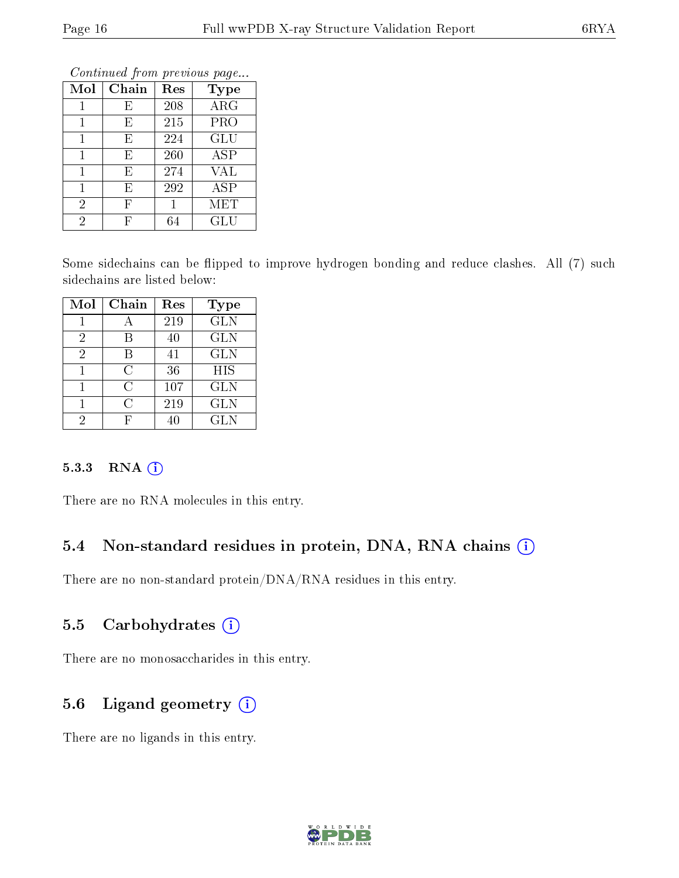| Conning Trong previous page |       |     |             |  |  |
|-----------------------------|-------|-----|-------------|--|--|
| Mol                         | Chain | Res | <b>Type</b> |  |  |
|                             | E     | 208 | ARG         |  |  |
|                             | E     | 215 | PRO         |  |  |
|                             | E     | 224 | GLU         |  |  |
| 1                           | E     | 260 | <b>ASP</b>  |  |  |
| 1                           | E     | 274 | <b>VAL</b>  |  |  |
| 1                           | E     | 292 | <b>ASP</b>  |  |  |
| $\overline{2}$              | F     |     | MET         |  |  |
| $\overline{2}$              | F     | 64  | GLU         |  |  |

Some sidechains can be flipped to improve hydrogen bonding and reduce clashes. All (7) such sidechains are listed below:

| Mol | Chain | Res | Type       |
|-----|-------|-----|------------|
|     |       | 219 | <b>GLN</b> |
| 2   |       | 40  | <b>GLN</b> |
| 2   | В     | 41  | <b>GLN</b> |
|     | C     | 36  | HIS        |
|     | C     | 107 | <b>GLN</b> |
|     | C     | 219 | <b>GLN</b> |
| 2   |       |     | <b>GLN</b> |

#### 5.3.3 RNA [O](https://www.wwpdb.org/validation/2017/XrayValidationReportHelp#rna)i

There are no RNA molecules in this entry.

#### 5.4 Non-standard residues in protein, DNA, RNA chains (i)

There are no non-standard protein/DNA/RNA residues in this entry.

#### 5.5 Carbohydrates (i)

There are no monosaccharides in this entry.

#### 5.6 Ligand geometry (i)

There are no ligands in this entry.

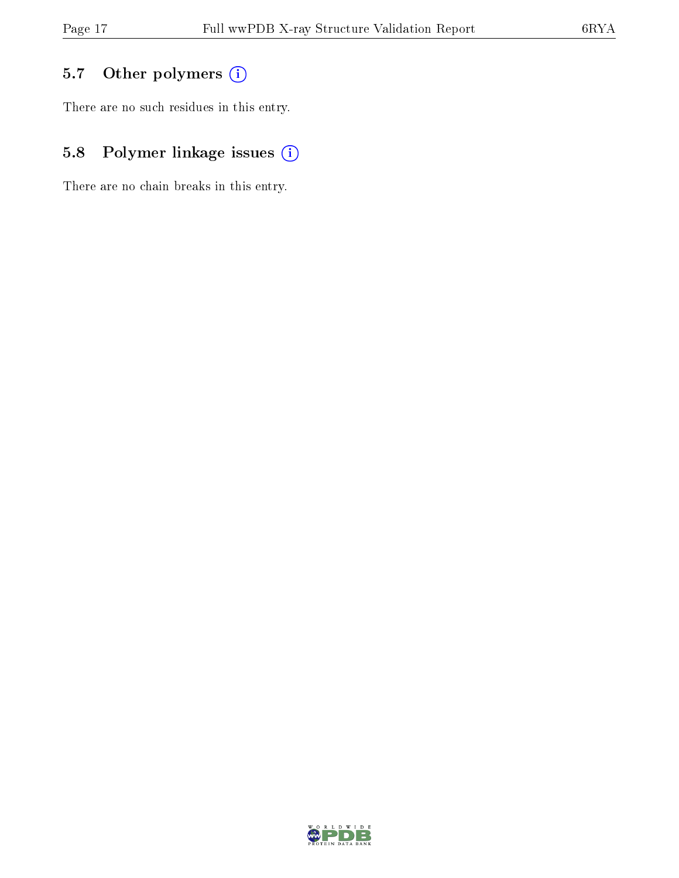## 5.7 [O](https://www.wwpdb.org/validation/2017/XrayValidationReportHelp#nonstandard_residues_and_ligands)ther polymers (i)

There are no such residues in this entry.

## 5.8 Polymer linkage issues (i)

There are no chain breaks in this entry.

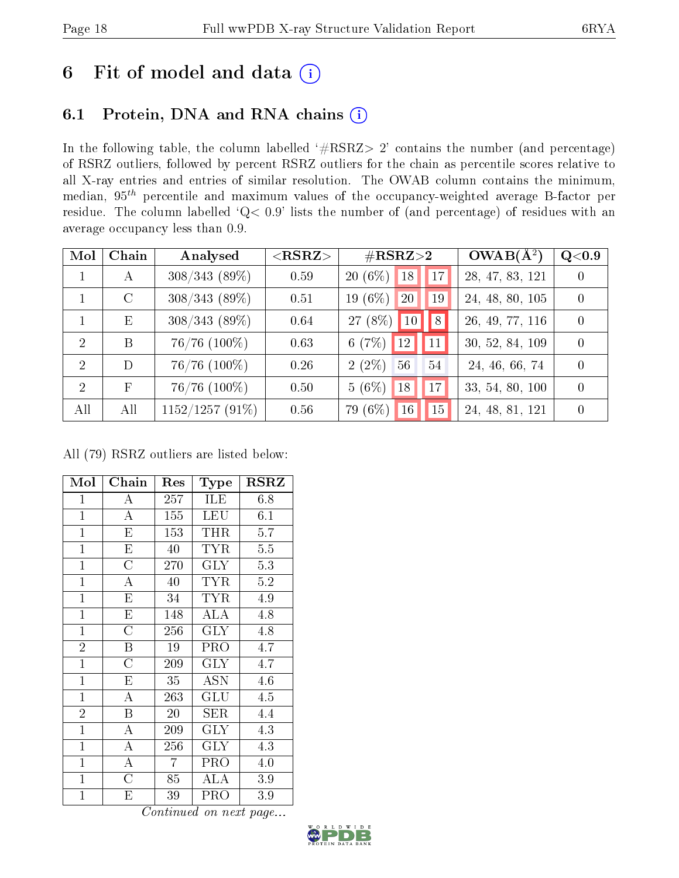## 6 Fit of model and data  $(i)$

### 6.1 Protein, DNA and RNA chains  $(i)$

In the following table, the column labelled  $#RSRZ> 2'$  contains the number (and percentage) of RSRZ outliers, followed by percent RSRZ outliers for the chain as percentile scores relative to all X-ray entries and entries of similar resolution. The OWAB column contains the minimum, median,  $95<sup>th</sup>$  percentile and maximum values of the occupancy-weighted average B-factor per residue. The column labelled ' $Q< 0.9$ ' lists the number of (and percentage) of residues with an average occupancy less than 0.9.

| Mol            | Chain         | Analysed          | ${ <\hspace{-1.5pt}{\mathrm{RSRZ}} \hspace{-1.5pt}>}$ | $\#\text{RSRZ}{>}2$               | $OWAB(A^2)$     | Q <sub>0.9</sub> |
|----------------|---------------|-------------------|-------------------------------------------------------|-----------------------------------|-----------------|------------------|
|                | А             | $308/343(89\%)$   | 0.59                                                  | $20(6\%)$<br> 18 <br> 17          | 28, 47, 83, 121 | $\theta$         |
|                | $\mathcal{C}$ | $308/343(89\%)$   | 0.51                                                  | 19 (6%)<br>20<br>19               | 24, 48, 80, 105 | $\overline{0}$   |
|                | E             | $308/343(89\%)$   | 0.64                                                  | 27 (8%)<br> 8 <br>10 <sup>1</sup> | 26, 49, 77, 116 | $\theta$         |
| $\mathcal{D}$  | B             | $76/76$ $(100\%)$ | 0.63                                                  | 6 $(7%)$<br>12<br>11              | 30, 52, 84, 109 | $\Omega$         |
| $\overline{2}$ | D             | $76/76$ $(100\%)$ | 0.26                                                  | $2(2\%)$<br>56<br>54              | 24, 46, 66, 74  | $\theta$         |
| $\mathcal{D}$  | $_{\rm F}$    | $76/76$ $(100\%)$ | 0.50                                                  | $5(6\%)$<br>18<br>17              | 33, 54, 80, 100 | $\Omega$         |
| All            | All           | $1152/1257(91\%)$ | 0.56                                                  | 79 (6%)<br>15<br>16 <sup>°</sup>  | 24, 48, 81, 121 | $\theta$         |

All (79) RSRZ outliers are listed below:

| Mol            | Chain                   | Res            | Type                 | <b>RSRZ</b> |
|----------------|-------------------------|----------------|----------------------|-------------|
| $\overline{1}$ | А                       | 257            | <b>ILE</b>           | 6.8         |
| $\mathbf{1}$   | $\boldsymbol{A}$        | 155            | LEU                  | 6.1         |
| $\mathbf{1}$   | $\overline{\mathrm{E}}$ | 153            | THR                  | 5.7         |
| $\mathbf{1}$   | E                       | 40             | <b>TYR</b>           | 5.5         |
| $\mathbf{1}$   | $\overline{C}$          | 270            | $\rm GLY$            | 5.3         |
| $\overline{1}$ | $\mathbf{A}$            | 40             | <b>TYR</b>           | 5.2         |
| $\mathbf{1}$   | $\overline{\mathrm{E}}$ | 34             | <b>TYR</b>           | 4.9         |
| $\mathbf{1}$   | $\overline{E}$          | 148            | ALA                  | 4.8         |
| $\mathbf{1}$   | $\overline{C}$          | 256            | <b>GLY</b>           | 4.8         |
| $\overline{2}$ | Β                       | 19             | PRO                  | 4.7         |
| $\mathbf{1}$   | $\overline{\rm C}$      | 209            | <b>GLY</b>           | 4.7         |
| $\overline{1}$ | E                       | 35             | <b>ASN</b>           | 4.6         |
| $\mathbf{1}$   | $\overline{A}$          | 263            | $\operatorname{GLU}$ | 4.5         |
| $\overline{2}$ | B                       | 20             | SER                  | 4.4         |
| $\mathbf{1}$   | $\overline{\rm A}$      | 209            | <b>GLY</b>           | 4.3         |
| $\mathbf{1}$   | $\mathbf{A}$            | 256            | <b>GLY</b>           | 4.3         |
| $\mathbf{1}$   | A                       | $\overline{7}$ | PRO                  | 4.0         |
| $\mathbf{1}$   | $\overline{C}$          | 85             | <b>ALA</b>           | 3.9         |
| $\mathbf{1}$   | Е                       | 39             | PRO                  | 3.9         |

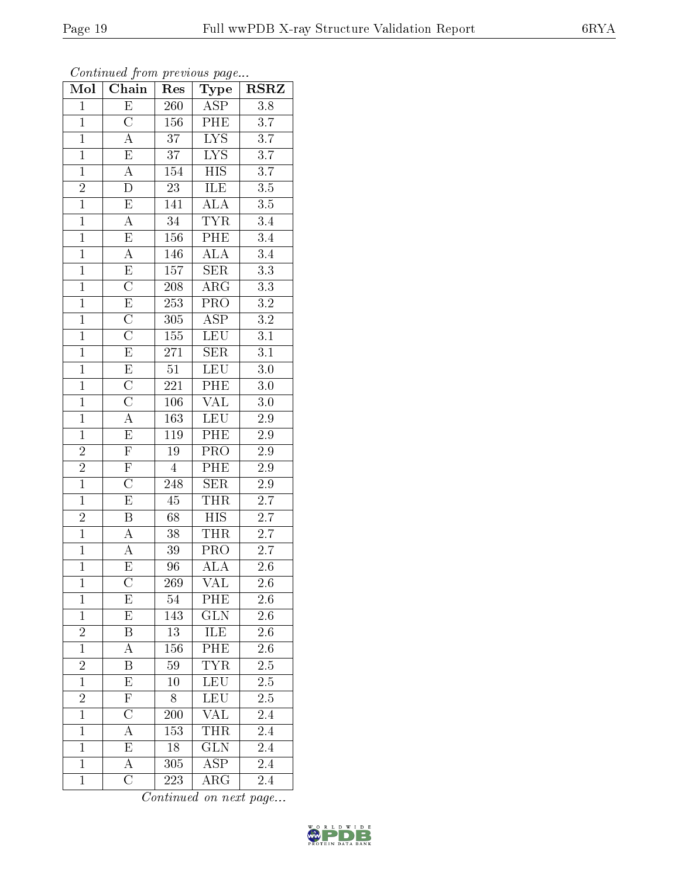| Mol            | $\overline{\text{Chain}}$ | $\operatorname{Res}% \left( \mathcal{N}\right) \equiv\operatorname{Res}(\mathcal{N}_{0})\cap\mathcal{N}_{1}$ | <b>Type</b>             | <b>RSRZ</b>      |
|----------------|---------------------------|--------------------------------------------------------------------------------------------------------------|-------------------------|------------------|
| $\overline{1}$ | $\overline{E}$            | 260                                                                                                          | <b>ASP</b>              | $\overline{3.8}$ |
| $\overline{1}$ | $\overline{\rm C}$        | 156                                                                                                          | PHE                     | $\overline{3.7}$ |
| $\overline{1}$ | $\overline{\rm A}$        | $\overline{37}$                                                                                              | $\overline{\text{LYS}}$ | $\overline{3.7}$ |
| $\mathbf{1}$   | $\mathbf E$               | $3\,7$                                                                                                       | $\overline{\text{LYS}}$ | $\overline{3.7}$ |
| $\overline{1}$ | $\overline{A}$            | 154                                                                                                          | $\overline{HIS}$        | $\overline{3.7}$ |
| $\overline{2}$ | D                         | $\overline{23}$                                                                                              | ILE                     | $\overline{3.5}$ |
| $\overline{1}$ | $\overline{\mathrm{E}}$   | 141                                                                                                          | ALA                     | $\overline{3.5}$ |
| $\overline{1}$ | $\overline{\rm A}$        | $\overline{34}$                                                                                              | <b>TYR</b>              | $\overline{3.4}$ |
| $\overline{1}$ | $\overline{\mathrm{E}}$   | 156                                                                                                          | $\overline{\rm{PHE}}$   | $\overline{3.4}$ |
| $\overline{1}$ | $\overline{A}$            | 146                                                                                                          | <b>ALA</b>              | $\overline{3.4}$ |
| $\overline{1}$ | E                         | 157                                                                                                          | <b>SER</b>              | $\overline{3.3}$ |
| $\overline{1}$ | $\overline{\rm C}$        | $\overline{208}$                                                                                             | $\overline{\rm{ARG}}$   | $\overline{3.3}$ |
| $\overline{1}$ | $\overline{\mathrm{E}}$   | $\overline{253}$                                                                                             | $\overline{\text{PRO}}$ | $\overline{3.2}$ |
| $\overline{1}$ | $\overline{\text{C}}$     | 305                                                                                                          | $\overline{\text{ASP}}$ | $\overline{3.2}$ |
| $\overline{1}$ | $\overline{\rm C}$        | 155                                                                                                          | LEU                     | $\overline{3.1}$ |
| $\overline{1}$ | $\overline{\mathrm{E}}$   | 271                                                                                                          | SER                     | $\overline{3.1}$ |
| $\overline{1}$ | $\overline{\mathrm{E}}$   | $\overline{51}$                                                                                              | LEU                     | $\overline{3.0}$ |
| $\mathbf{1}$   | $\overline{\rm C}$        | 221                                                                                                          | PHE                     | 3.0              |
| $\mathbf{1}$   | $\overline{\text{C}}$     | 106                                                                                                          | $\overline{\text{VAL}}$ | $3.0\,$          |
| $\overline{1}$ | $\overline{A}$            | 163                                                                                                          | LEU                     | $2.9\,$          |
| $\mathbf{1}$   | $\mathbf E$               | 119                                                                                                          | PHE                     | 2.9              |
| $\overline{2}$ | $\overline{\mathrm{F}}$   | $\overline{19}$                                                                                              | $\overline{\text{PRO}}$ | $\overline{2.9}$ |
| $\frac{2}{1}$  | $\overline{F}$            | $\overline{4}$                                                                                               | PHE                     | $2.9\,$          |
|                | $\overline{\rm C}$        | 248                                                                                                          | $\overline{\text{SER}}$ | $\overline{2.9}$ |
| $\overline{1}$ | $\overline{\mathrm{E}}$   | 45                                                                                                           | <b>THR</b>              | 2.7              |
| $\overline{2}$ | $\overline{\mathrm{B}}$   | 68                                                                                                           | $\overline{HIS}$        | $\overline{2.7}$ |
| $\overline{1}$ | $\overline{A}$            | $\overline{38}$                                                                                              | <b>THR</b>              | $\overline{2.7}$ |
| $\overline{1}$ | A                         | 39                                                                                                           | PRO                     | $2.\overline{7}$ |
| $\overline{1}$ | $\overline{\mathrm{E}}$   | 96                                                                                                           | $\overline{\rm ALA}$    | 2.6              |
| $\mathbf{1}$   | $\overline{\rm C}$        | 269                                                                                                          | VAL                     | 2.6              |
| $\overline{1}$ | E                         | 54                                                                                                           | PHE                     | $2.\overline{6}$ |
| $\mathbf{1}$   | $\overline{\mathrm{E}}$   | 143                                                                                                          | GLN                     | $\overline{2.6}$ |
|                | Β                         | 13                                                                                                           | ILE                     | 2.6              |
| $\frac{2}{1}$  | А                         | 156                                                                                                          | PHE                     | 2.6              |
|                | Β                         | 59                                                                                                           | <b>TYR</b>              | $2.\overline{5}$ |
| $\frac{2}{1}$  | $\overline{\mathrm{E}}$   | 10                                                                                                           | LEU                     | $\overline{2.5}$ |
| $\overline{c}$ | $\overline{\mathrm{F}}$   | 8                                                                                                            | LEU                     | $2.5\,$          |
| $\overline{1}$ | $\mathcal C$              | 200                                                                                                          | <b>VAL</b>              | 2.4              |
| $\overline{1}$ | $\overline{\rm A}$        | 153                                                                                                          | THR                     | 2.4              |
| $\mathbf{1}$   | E                         | 18                                                                                                           | GLN                     | 2.4              |
| $\mathbf{1}$   | $\overline{\rm A}$        | $\overline{305}$                                                                                             | $\overline{\text{ASP}}$ | 2.4              |
| $\mathbf{1}$   | $\overline{C}$            | 223                                                                                                          | $\rm{ARG}$              | 2.4              |